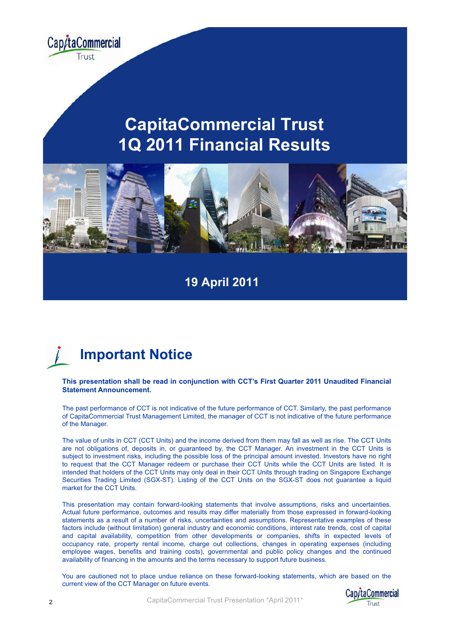

### **CapitaCommercial Trust 1Q 2011 Financial Results**



#### **19 April 2011**



#### This presentation shall be read in conjunction with CCT's First Quarter 2011 Unaudited Financial **Statement Announcement.**

The past performance of CCT is not indicative of the future performance of CCT. Similarly, the past performance of CapitaCommercial Trust Management Limited, the manager of CCT is not indicative of the future performance of the Manager.

The value of units in CCT (CCT Units) and the income derived from them may fall as well as rise. The CCT Units are not obligations of, deposits in, or guaranteed by, the CCT Manager. An investment in the CCT Units is subject to investment risks, including the possible loss of the principal amount invested. Investors have no right to request that the CCT Manager redeem or purchase their CCT Units while the CCT Units are listed. It is intended that holders of the CCT Units may only deal in their CCT Units through trading on Singapore Exchange Securities Trading Limited (SGX-ST). Listing of the CCT Units on the SGX-ST does not guarantee <sup>a</sup> liquid market for the CCT Units.

This presentation may contain forward-looking statements that involve assumptions, risks and uncertainties. Actual future performance, outcomes and results may differ materially from those expressed in forward-looking statements as <sup>a</sup> result of <sup>a</sup> number of risks, uncertainties and assumptions. Representative examples of these factors include (without limitation) general industry and economic conditions, interest rate trends, cost of capital and capital availability, competition from other developments or companies, shifts in expected levels of occupancy rate, property rental income, charge out collections, changes in operating expenses (including employee wages, benefits and training costs), governmental and public policy changes and the continued availability of financing in the amounts and the terms necessary to support future business.

You are cautioned not to place undue reliance on these forward-looking statements, which are based on the current view of the CCT Manager on future events.

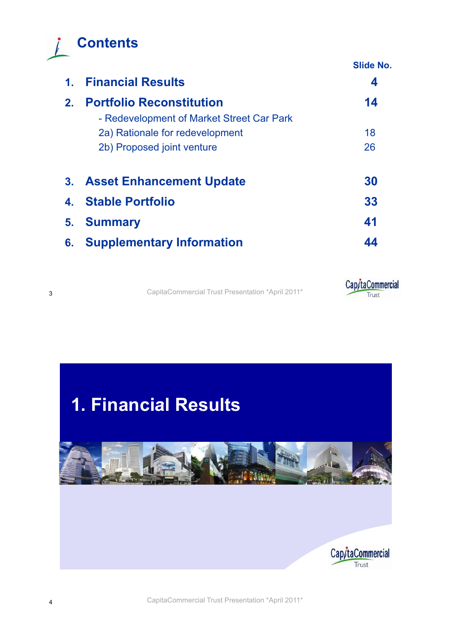

|                |                                                                              | <b>Slide No.</b> |
|----------------|------------------------------------------------------------------------------|------------------|
| 1 <sub>1</sub> | <b>Financial Results</b>                                                     | 4                |
| 2 <sub>1</sub> | <b>Portfolio Reconstitution</b><br>- Redevelopment of Market Street Car Park | 14               |
|                | 2a) Rationale for redevelopment                                              | 18               |
|                | 2b) Proposed joint venture                                                   | 26               |
|                | 3. Asset Enhancement Update                                                  | 30               |
| $\mathbf{4}$ . | <b>Stable Portfolio</b>                                                      | 33               |
| 5.             | <b>Summary</b>                                                               | 41               |
| 6.             | <b>Supplementary Information</b>                                             | 44               |



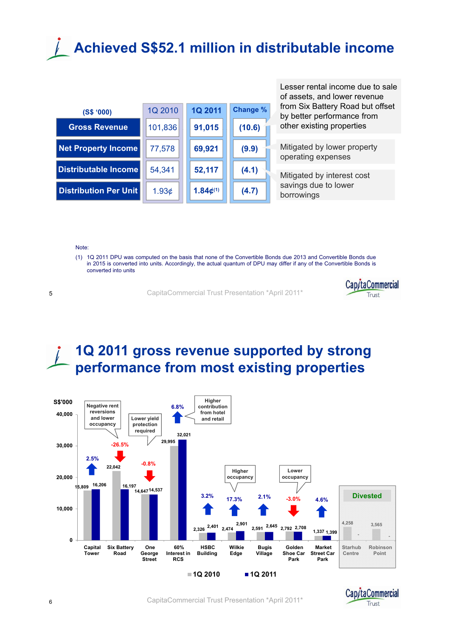## **Achieved S\$52.1 million in distributable income**



Lesser rental income due to sale of assets, and lower revenue from Six Battery Road but offset by better performance from other existing properties

Mitigated by lower property operating expenses

Mitigated by interest cost savings due to lower borrowings

#### Note:

(1) 1Q 2011 DPU was computed on the basis that none of the Convertible Bonds due 2013 and Convertible Bonds due in 2015 is converted into units. Accordingly, the actual quantum of DPU may differ if any of the Convertible Bonds is converted into units

<sup>5</sup> CapitaCommercial Trust Presentation \*April 2011\*



#### **1Q 2011 gross revenue supported by strong performance from most existing properties**



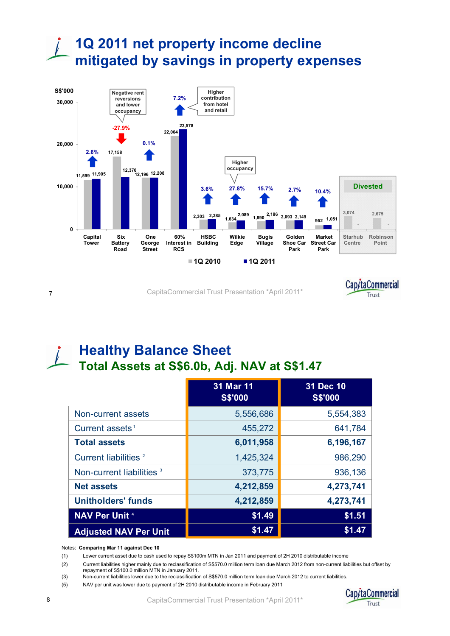### **1Q 2011 net property income decline mitigated by savings in property expenses**



<sup>7</sup> CapitaCommercial Trust Presentation \*April 2011\*



#### **Healthy Balance Sheet Total Assets at S\$6.0b, Adj. NAV at S\$1.47**

|                                      | 31 Mar 11<br><b>S\$'000</b> | 31 Dec 10<br><b>S\$'000</b> |
|--------------------------------------|-----------------------------|-----------------------------|
| Non-current assets                   | 5,556,686                   | 5,554,383                   |
| Current assets <sup>1</sup>          | 455,272                     | 641,784                     |
| <b>Total assets</b>                  | 6,011,958                   | 6,196,167                   |
| Current liabilities <sup>2</sup>     | 1,425,324                   | 986,290                     |
| Non-current liabilities <sup>3</sup> | 373,775                     | 936,136                     |
| <b>Net assets</b>                    | 4,212,859                   | 4,273,741                   |
| <b>Unitholders' funds</b>            | 4,212,859                   | 4,273,741                   |
| <b>NAV Per Unit 4</b>                | \$1.49                      | \$1.51                      |
| <b>Adjusted NAV Per Unit</b>         | \$1.47                      | \$1.47                      |

Notes: **Comparing Mar 11 against Dec 10**

(1) Lower current asset due to cash used to repay S\$100m MTN in Jan 2011 and payment of 2H 2010 distributable income

(2) Current liabilities higher mainly due to reclassification of S\$570.0 million term loan due March 2012 from non-current liabilities but offset by repayment of S\$100.0 million MTN in January 2011.

(3) Non-current liabilities lower due to the reclassification of S\$570.0 million term loan due March 2012 to current liabilities.

(5) NAV per unit was lower due to payment of 2H 2010 distributable income in February 2011

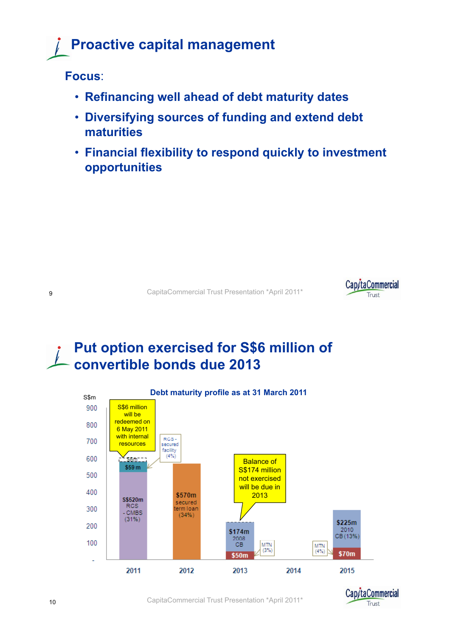## **Proactive capital management**

**Focus**:

- •• **Refinancing well ahead of debt maturity dates**
- **Diversifying sources of funding and extend debt maturities**
- **Financial flexibility to respond quickly to investment opportunities**

<sup>9</sup> CapitaCommercial Trust Presentation \*April 2011\*



#### **Put option exercised for S\$6 million of convertible bonds due 2013**



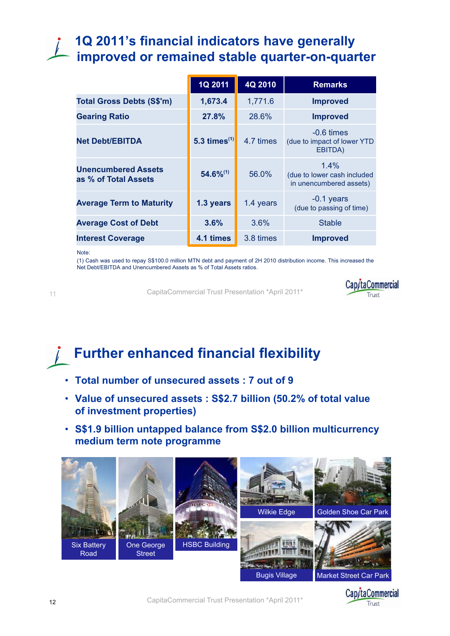#### **1Q 2011's financial indicators have generally**  improved or remained stable quarter-on-quarter

|                                                    | 1Q 2011            | 4Q 2010   | <b>Remarks</b>                                                    |
|----------------------------------------------------|--------------------|-----------|-------------------------------------------------------------------|
| <b>Total Gross Debts (S\$'m)</b>                   | 1,673.4            | 1,771.6   | <b>Improved</b>                                                   |
| <b>Gearing Ratio</b>                               | 27.8%              | 28.6%     | <b>Improved</b>                                                   |
| <b>Net Debt/EBITDA</b>                             | 5.3 times $^{(1)}$ | 4.7 times | $-0.6 \times$<br>(due to impact of lower YTD<br>EBITDA)           |
| <b>Unencumbered Assets</b><br>as % of Total Assets | $54.6\%^{(1)}$     | 56.0%     | $1.4\%$<br>(due to lower cash included<br>in unencumbered assets) |
| <b>Average Term to Maturity</b>                    | 1.3 years          | 1.4 years | $-0.1$ years<br>(due to passing of time)                          |
| <b>Average Cost of Debt</b>                        | 3.6%               | 3.6%      | <b>Stable</b>                                                     |
| <b>Interest Coverage</b>                           | 4.1 times          | 3.8 times | <b>Improved</b>                                                   |

Note:

(1) Cash was used to repay S\$100.0 million MTN debt and payment of 2H 2010 distribution income. This increased the Net Debt/EBITDA and Unencumbered Assets as % of Total Assets ratios.

11

CapitaCommercial Trust Presentation \*April 2011\*



## **Further enhanced financial flexibility**

- **Total number of unsecured assets : 7 out of 9**
- **Value of unsecured assets : S\$2.7 billion (50.2% of total value of investment properties)**
- **S\$1.9 billion untapped balance from S\$2.0 billion multicurrency medi t t um erm note programme**



**Cap/taCommercial** 

Truct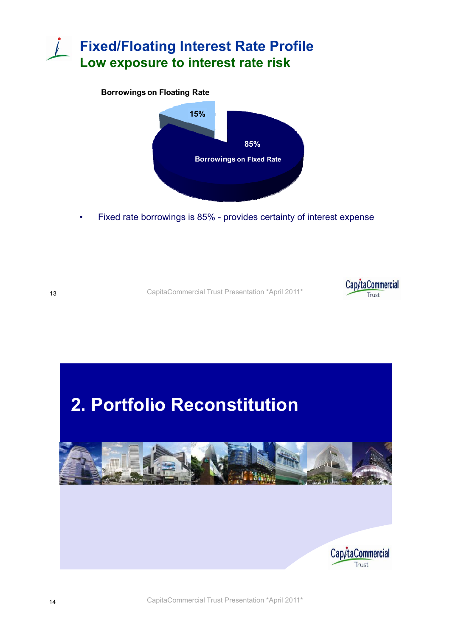### **Fixed/Floating Interest Rate Profile Low exposure to interest rate risk**

#### **Borrowings on Floating Rate**



•Fixed rate borrowings is 85% - provides certainty of interest expense



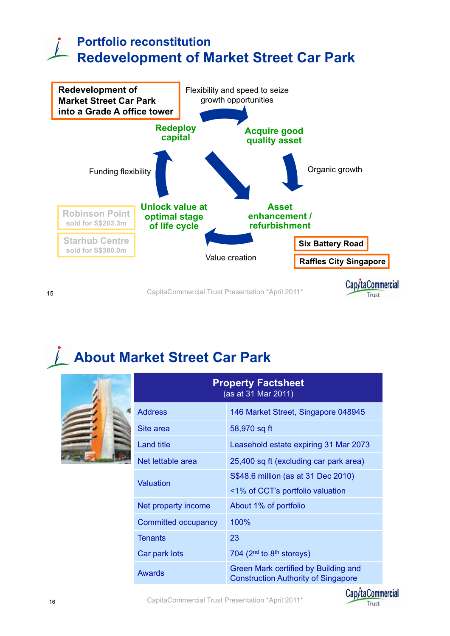### **Portfolio reconstitution Redevelopment of Market Street Car Park**



## **About Market Street Car Park**

|                            | <b>Property Factsheet</b><br>(as at 31 Mar 2011)                                   |
|----------------------------|------------------------------------------------------------------------------------|
| <b>Address</b>             | 146 Market Street, Singapore 048945                                                |
| Site area                  | 58,970 sq ft                                                                       |
| Land title                 | Leasehold estate expiring 31 Mar 2073                                              |
| Net lettable area          | 25,400 sq ft (excluding car park area)                                             |
| Valuation                  | S\$48.6 million (as at 31 Dec 2010)<br><1% of CCT's portfolio valuation            |
| Net property income        | About 1% of portfolio                                                              |
| <b>Committed occupancy</b> | $100\%$                                                                            |
| <b>Tenants</b>             | 23                                                                                 |
| Car park lots              | 704 ( $2nd$ to $8th$ storeys)                                                      |
| Awards                     | Green Mark certified by Building and<br><b>Construction Authority of Singapore</b> |

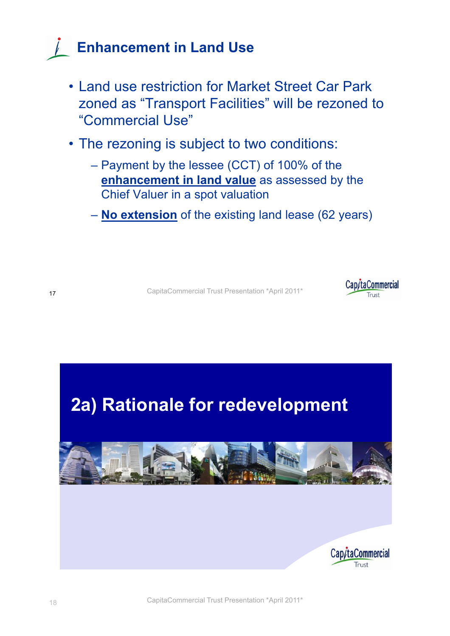## **Enhancement in Land Use**

- Land use restriction for Market Street Car Park zoned as "Transport Facilities" will be rezoned to "Commercial Use"
- The rezoning is subject to two conditions:
	- Payment by the lessee (CCT) of 100% of the **enhancement in land value** as assessed by the Chief Valuer in a spot valuation
	- **No extension** of the existing land lease (62 years)





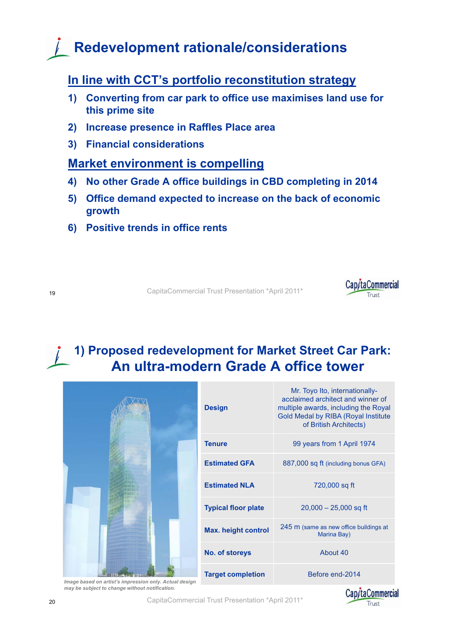## **Redevelopment rationale/considerations**

#### **In line with CCT's portfolio reconstitution strategy**

- 1) Converting from car park to office use maximises land use for **this prime site**
- **2) Increase presence in Raffles Place area**
- **3) Financial considerations**

#### **Market environment is compelling**

- **4) No other Grade A office buildings in CBD completing in 2014**
- **5) Office demand expected to increase on the back of economic growth**
- **6) Positive trends in office rents**

<sup>19</sup> CapitaCommercial Trust Presentation \*April 2011\*



# **1) Proposed redevelopment for Market Street Car Park:**

|                            | An ultra-modern Grade A office tower                                                                                                                                         |
|----------------------------|------------------------------------------------------------------------------------------------------------------------------------------------------------------------------|
| <b>Design</b>              | Mr. Toyo Ito, internationally-<br>acclaimed architect and winner of<br>multiple awards, including the Royal<br>Gold Medal by RIBA (Royal Institute<br>of British Architects) |
| <b>Tenure</b>              | 99 years from 1 April 1974                                                                                                                                                   |
| <b>Estimated GFA</b>       | 887,000 sq ft (including bonus GFA)                                                                                                                                          |
| <b>Estimated NLA</b>       | 720,000 sq ft                                                                                                                                                                |
| <b>Typical floor plate</b> | $20,000 - 25,000$ sq ft                                                                                                                                                      |
| <b>Max. height control</b> | 245 m (same as new office buildings at<br>Marina Bay)                                                                                                                        |
| No. of storeys             | About 40                                                                                                                                                                     |
| <b>Target completion</b>   | Before end-2014                                                                                                                                                              |



*Image based on artist's impression only. Actual design may be subject to change without notification.*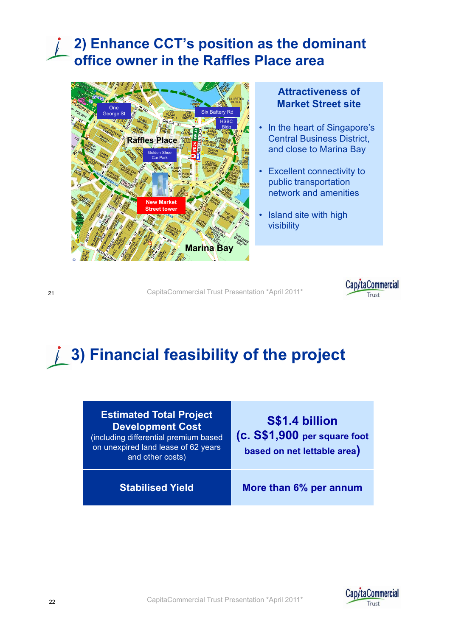### **2) Enhance CCT's position as the dominant office owner in the Raffles Place area**



#### **Attractiveness of Market Street site**

- In the heart of Singapore's **Central Business District,** and close to Marina Bay
- Excellent connectivity to public transportation network and amenities
- Island site with high visibility

<sup>21</sup> CapitaCommercial Trust Presentation \*April 2011\*



## **3) Financial feasibility of the project**

| <b>Estimated Total Project</b><br><b>Development Cost</b><br>(including differential premium based<br>on unexpired land lease of 62 years<br>and other costs) | S\$1.4 billion<br>(c. S\$1,900 per square foot<br>based on net lettable area) |
|---------------------------------------------------------------------------------------------------------------------------------------------------------------|-------------------------------------------------------------------------------|
| <b>Stabilised Yield</b>                                                                                                                                       | More than 6% per annum                                                        |

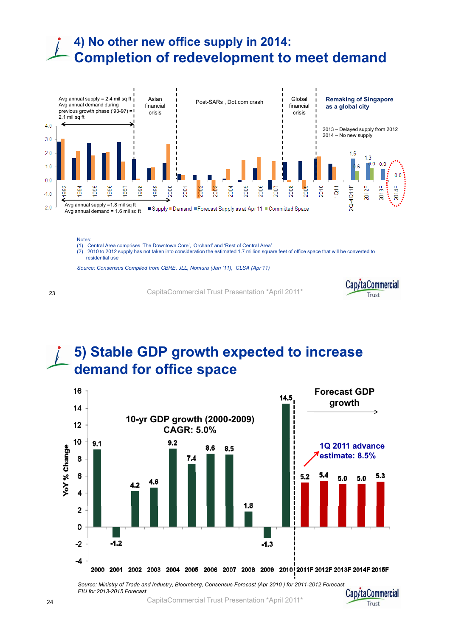### **4) No other new office supply in 2014: Completion of redevelopment to meet demand**



Notes:

(1) Central Area comprises 'The Downtown Core', 'Orchard' and 'Rest of Central Area' (2) 2010 to 2012 supply has not taken into consideration the estimated 1.7 million square feet of office space that will be converted to residential use

Source: Consensus Compiled from CBRE, JLL, Nomura (Jan '11), CLSA (Apr'11)

<sup>23</sup> CapitaCommercial Trust Presentation \*April 2011\*



Trust

#### **5) Stable GDP growth expected to increase demand for office space**



*Source: Ministry of Trade and Industry, Bloomberg, Consensus Forecast (Apr 2010 ) for 2011-2012 Forecast, EIU for 2013-2015 Forecast* Cap/taCommercial

CapitaCommercial Trust Presentation \*April 2011\*

24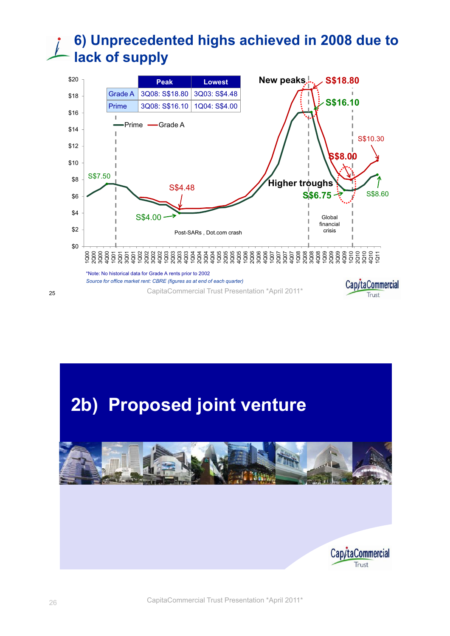### **6) Unprecedented highs achieved in 2008 due to lack of supply**



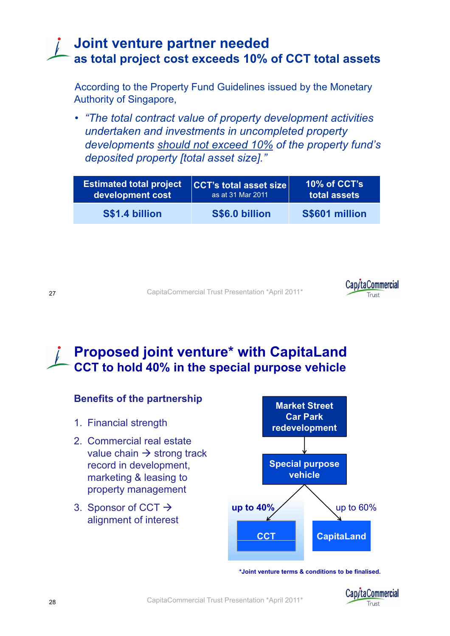#### **Joint venture partner needed as total project cost exceeds 10% of CCT total assets**

According to the Property Fund Guidelines issued by the Monetary Authority of Singapore,

• *"The total contract value of property development activities undertaken and investments in uncompleted property developments should not exceed 10% of the property fund's deposited p p y[ ] roperty [total asset size]."*

| <b>Estimated total project</b> | <b>CCT's total asset size</b> | 10% of CCT's   |
|--------------------------------|-------------------------------|----------------|
| development cost               | as at 31 Mar 2011             | total assets   |
| S\$1.4 billion                 | S\$6.0 billion                | S\$601 million |

<sup>27</sup> CapitaCommercial Trust Presentation \*April 2011\*



**Proposed joint venture\* with CapitaLand CCT to hold 40% in the special purpose vehicle**



**\*Joint venture terms & conditions to be finalised.**

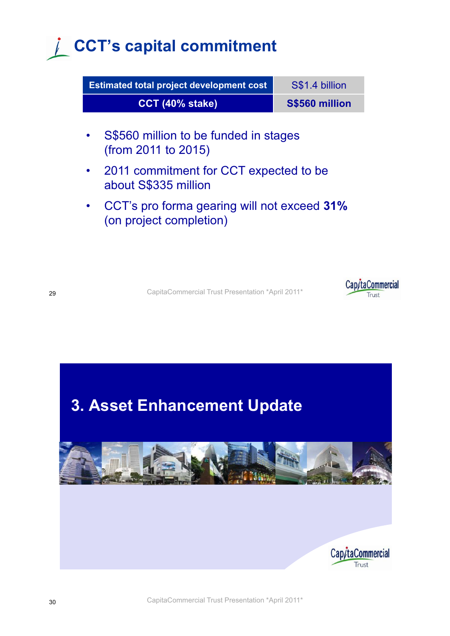## **CCT's capital commitment**

| <b>Estimated total project development cost</b>                        | S\$1.4 billion |
|------------------------------------------------------------------------|----------------|
| CCT (40% stake)                                                        | S\$560 million |
| S\$560 million to be funded in stages<br>(from 2011 to 2015)           |                |
| 2011 commitment for CCT expected to be<br>about S\$335 million         |                |
| CCT's pro forma gearing will not exceed 31%<br>(on project completion) |                |
|                                                                        |                |



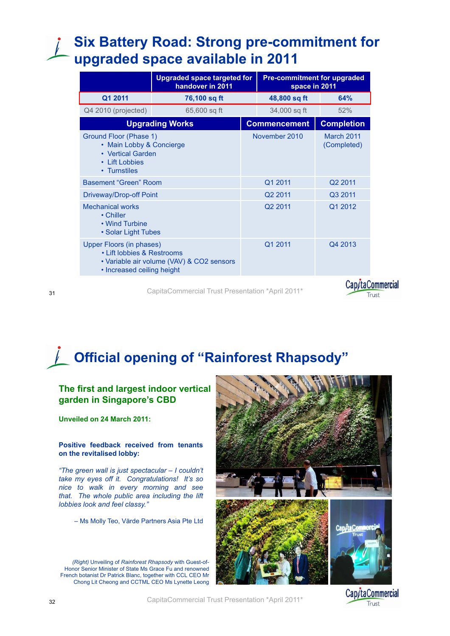### **Six Battery Road: Strong pre-commitment for upgraded space available in 2011**

|                                                                                                                                   | <b>Upgraded space targeted for</b><br>handover in 2011 |                     | <b>Pre-commitment for upgraded</b><br>space in 2011 |                   |  |
|-----------------------------------------------------------------------------------------------------------------------------------|--------------------------------------------------------|---------------------|-----------------------------------------------------|-------------------|--|
| Q1 2011                                                                                                                           | 76,100 sq ft                                           |                     | 48,800 sq ft                                        | 64%               |  |
| Q4 2010 (projected)                                                                                                               | 65,600 sq ft                                           |                     | 34,000 sq ft                                        | 52%               |  |
|                                                                                                                                   | <b>Upgrading Works</b>                                 |                     | <b>Commencement</b>                                 | <b>Completion</b> |  |
| Ground Floor (Phase 1)<br>• Main Lobby & Concierge<br>• Vertical Garden<br>• Lift Lobbies<br>• Turnstiles                         |                                                        |                     | November 2010<br>March 2011<br>(Completed)          |                   |  |
| Basement "Green" Room                                                                                                             |                                                        |                     | Q1 2011                                             | Q2 2011           |  |
| Driveway/Drop-off Point                                                                                                           |                                                        |                     | Q <sub>2</sub> 2011                                 | Q3 2011           |  |
| <b>Mechanical works</b><br>• Chiller<br>• Wind Turbine<br>• Solar Light Tubes                                                     |                                                        | Q <sub>2</sub> 2011 |                                                     | Q1 2012           |  |
| Upper Floors (in phases)<br>• Lift lobbies & Restrooms<br>• Variable air volume (VAV) & CO2 sensors<br>• Increased ceiling height |                                                        |                     | Q1 2011                                             | Q4 2013           |  |

CapitaCommercial Trust Presentation \*April 2011\*

Cap/taCommercial Trust

#### 31

## **Official opening of "Rainforest Rhapsody"**

#### **The first and largest indoor vertical g gp arden in Singapore's CBD**

**Unveiled on 24 March 2011:**

#### **Positive feedback received from tenants on the revitalised lobby:**

*"The green wall is just spectacular – I couldn t' take my eyes off it. Congratulations! It's so nice to walk in every morning and see that. The whole public area including the lift lobbies look and feel classy."*

– Ms Molly Teo, Värde Partners Asia Pte Ltd

*(Right)* Unveiling of *Rainforest Rhapsody* with Guest-of-Honor Senior Minister of State Ms Grace Fu and renowned French botanist Dr Patrick Blanc, together with CCL CEO Mr Chong Lit Cheong and CCTML CEO Ms Lynette Leong



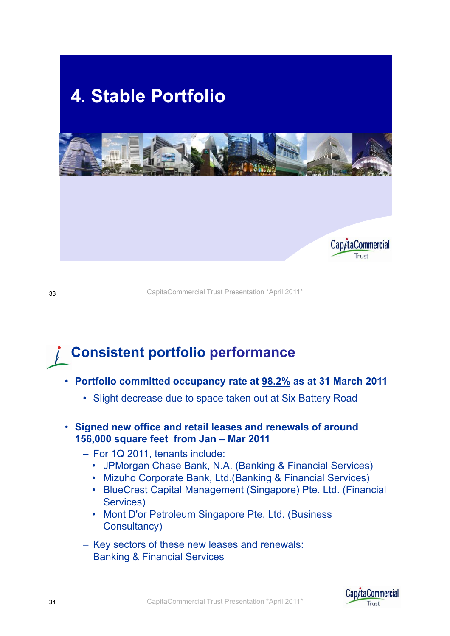

<sup>33</sup> CapitaCommercial Trust Presentation \*April 2011\*

### **Consistent portfolio performance**

- **Portfolio committed occupancy rate at 98.2% as at 31 March 2011**
	- Slight decrease due to space taken out at Six Battery Road
- **Signed new office and retail leases and renewals of around 156 000 square feet from Jan 156,000Jan – Mar 2011**
	- For 1Q 2011, tenants include:
		- JPMorgan Chase Bank, N.A. (Banking & Financial Services)
		- Mizuho Corporate Bank, Ltd.(Banking & Financial Services)
		- BlueCrest Capital Management (Singapore) Pte. Ltd. (Financial Services)
		- Mont D'or Petroleum Singapore Pte. Ltd. (Business Consultancy)
	- Key sectors of these new leases and renewals: Banking & Financial Services

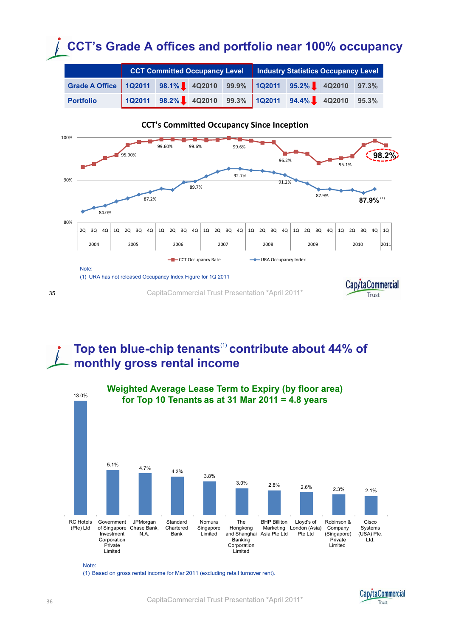## **CCT's Grade A offices and portfolio near 100% occupancy**

|           | CCT Committed Occupancy Level   Industry Statistics Occupancy Level<br>Grade A Office 1Q2011 98.1% 2 4Q2010 99.9% 1Q2011 95.2% 2 4Q2010 97.3%<br>1Q2011 98.2% 4Q2010 99.3% 1Q2011 94.4% 4Q2010 95.3% |  |  |  |  |  |  |
|-----------|------------------------------------------------------------------------------------------------------------------------------------------------------------------------------------------------------|--|--|--|--|--|--|
|           |                                                                                                                                                                                                      |  |  |  |  |  |  |
| Portfolio |                                                                                                                                                                                                      |  |  |  |  |  |  |



#### **CCT's Committed Occupancy Since Inception**

#### **Top ten blue-chip tenants**(1) **contribute about 44% of monthly gross rental income**



Note:

(1) Based on gross rental income for Mar 2011 (excluding retail turnover rent) .

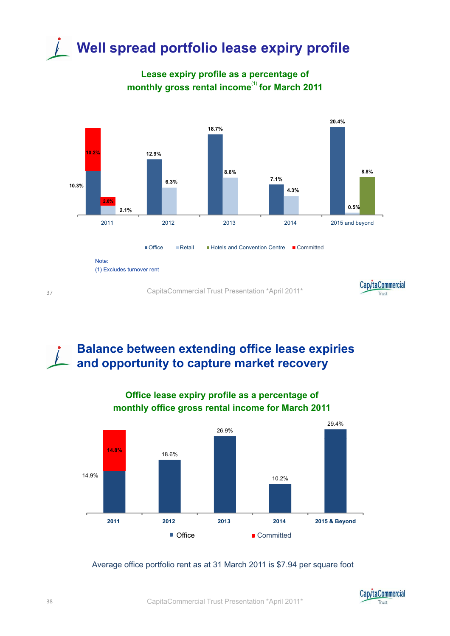# **Well spread portfolio lease expiry profile**

**Lease expiry profile as a percentage of monthly gross rental income**(1) **for March 2011**



#### **Balance between extending office lease expiries and opportunity to capture market recovery**



## **Office lease expiry profile as a percentage of**

Average office portfolio rent as at 31 March 2011 is \$7.94 per square foot

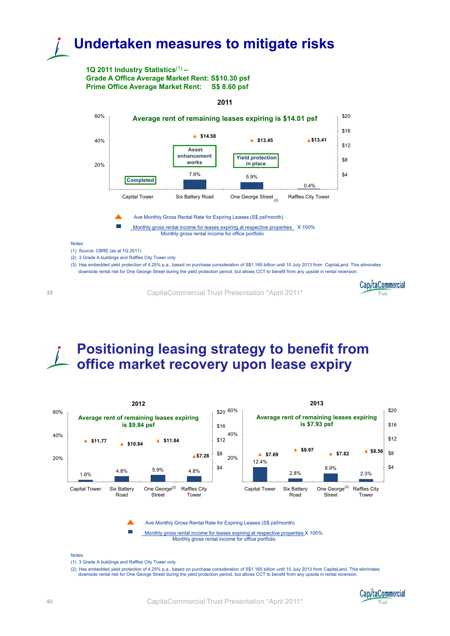### **Undertaken measures to mitigate risks**

#### **1Q 2011 Industry Statistics**(1) **– Grade A Office Average Market Rent: S\$10.30 psf Prime Office Average Market Rent: S\$ 8.60 psf**



**2011**

CapitaCommercial Trust Presentation \*April 2011\*



#### **Positioning leasing strategy to benefit from**  *office market recovery upon lease expiry*



(2) Has embedded yield protection of 4.25% p.a., based on purchase consideration of S\$1.165 billion until 10 July 2013 from CapitaLand. This eliminates<br>downside rental risk for One George Street during the yield protection



39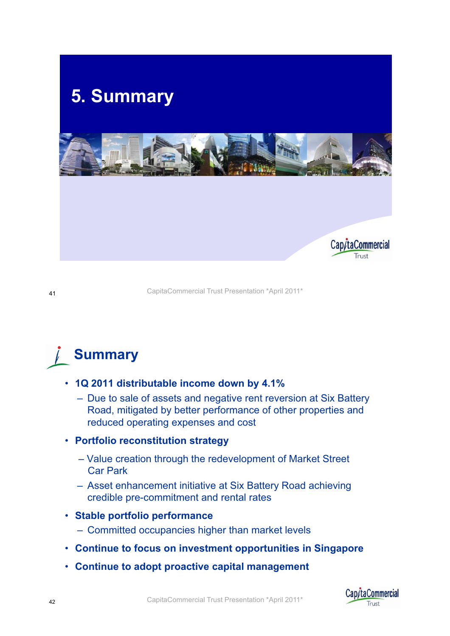

<sup>41</sup> CapitaCommercial Trust Presentation \*April 2011\*

**Summary**

- **1Q 2011 distributable income down by 4.1%**
	- Due to sale of assets and negative rent reversion at Six Battery Road, mitigated by better performance of other properties and reduced operating expenses and cost
- **P tf li tit ti t t Portfolio reconstitution strategy**
	- Value creation through the redevelopment of Market Street Car Park
	- Asset enhancement initiative at Six Battery Road achieving credible pre-commitment and rental rates
- **Stable portfolio performance**
	- Committed occupancies higher than market levels
- **Continue to focus on investment opportunities in Singapore**
- **Continue to adopt proactive capital management**

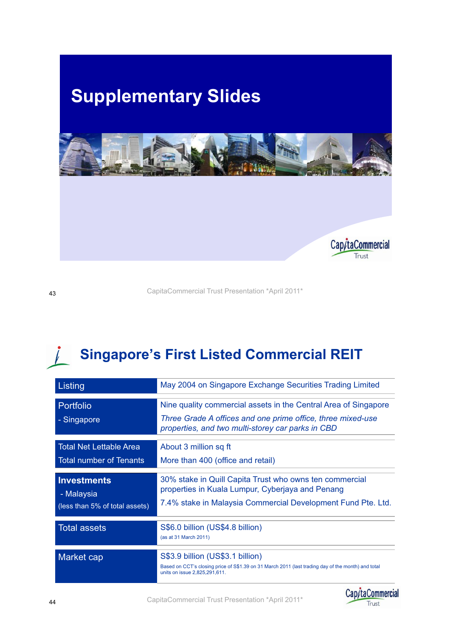

<sup>43</sup> CapitaCommercial Trust Presentation \*April 2011\*

#### $\int$ **Singapore's First Listed Commercial REIT**

| Listing                                                            | May 2004 on Singapore Exchange Securities Trading Limited                                                                                                                           |
|--------------------------------------------------------------------|-------------------------------------------------------------------------------------------------------------------------------------------------------------------------------------|
| Portfolio<br>- Singapore                                           | Nine quality commercial assets in the Central Area of Singapore<br>Three Grade A offices and one prime office, three mixed-use<br>properties, and two multi-storey car parks in CBD |
| <b>Total Net Lettable Area</b><br><b>Total number of Tenants</b>   | About 3 million sq ft<br>More than 400 (office and retail)                                                                                                                          |
| <b>Investments</b><br>- Malaysia<br>(less than 5% of total assets) | 30% stake in Quill Capita Trust who owns ten commercial<br>properties in Kuala Lumpur, Cyberjaya and Penang<br>7.4% stake in Malaysia Commercial Development Fund Pte. Ltd.         |
| <b>Total assets</b>                                                | S\$6.0 billion (US\$4.8 billion)<br>(as at 31 March 2011)                                                                                                                           |
| Market cap                                                         | S\$3.9 billion (US\$3.1 billion)<br>Based on CCT's closing price of S\$1.39 on 31 March 2011 (last trading day of the month) and total<br>units on issue 2,825,291,611.             |

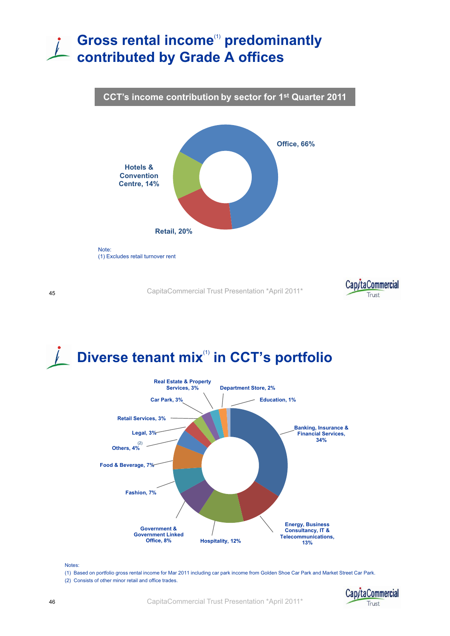### **Gross rental income**(1) **predominantly contributed by Grade A offices**





<sup>45</sup> CapitaCommercial Trust Presentation \*April 2011\*



## **Diverse tenant mix**(1) **in CCT's portfolio**



Notes:

(1) Based on portfolio gross rental income for Mar 2011 including car park income from Golden Shoe Car Park and Market Street Car Park.<br>(2) Consists of other minor retail and office trades.

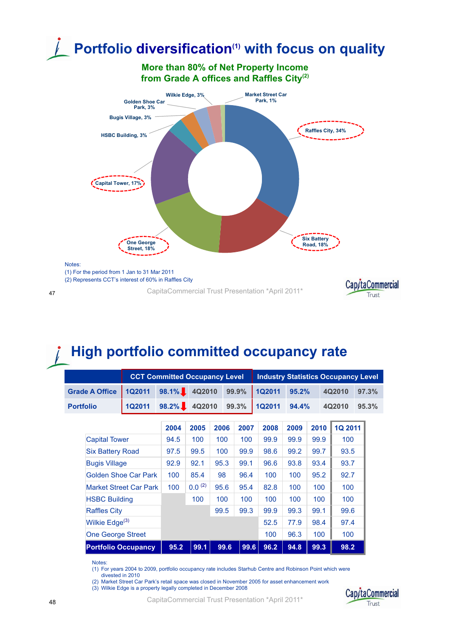

### **High portfolio committed occupancy rate**

|                            |                               | <b>CCT Committed Occupancy Level</b> |             |      |       | <b>Industry Statistics Occupancy Level</b> |       |      |                |       |
|----------------------------|-------------------------------|--------------------------------------|-------------|------|-------|--------------------------------------------|-------|------|----------------|-------|
| <b>Grade A Office</b>      | <b>1Q2011</b>                 | $98.1\%$                             | 4Q2010      |      | 99.9% | <b>1Q2011</b>                              | 95.2% |      | 4Q2010         | 97.3% |
| <b>Portfolio</b>           | <b>1Q2011</b>                 | $98.2\%$                             | 4Q2010      |      | 99.3% | <b>1Q2011</b>                              | 94.4% |      | 4Q2010         | 95.3% |
|                            |                               | 2004                                 | 2005        | 2006 | 2007  | 2008                                       | 2009  | 2010 | <b>1Q 2011</b> |       |
| <b>Capital Tower</b>       |                               | 94.5                                 | 100         | 100  | 100   | 99.9                                       | 99.9  | 99.9 | 100            |       |
| <b>Six Battery Road</b>    |                               | 97.5                                 | 99.5        | 100  | 99.9  | 98.6                                       | 99.2  | 99.7 | 93.5           |       |
| <b>Bugis Village</b>       |                               | 92.9                                 | 92.1        | 95.3 | 99.1  | 96.6                                       | 93.8  | 93.4 | 93.7           |       |
|                            | Golden Shoe Car Park          | 100                                  | 85.4        | 98   | 96.4  | 100                                        | 100   | 95.2 | 92.7           |       |
|                            | <b>Market Street Car Park</b> | 100                                  | $0.0^{(2)}$ | 95.6 | 95.4  | 82.8                                       | 100   | 100  | 100            |       |
| <b>HSBC Building</b>       |                               |                                      | 100         | 100  | 100   | 100                                        | 100   | 100  | 100            |       |
| <b>Raffles City</b>        |                               |                                      |             | 99.5 | 99.3  | 99.9                                       | 99.3  | 99.1 | 99.6           |       |
| Wilkie Edge <sup>(3)</sup> |                               |                                      |             |      |       | 52.5                                       | 77.9  | 98.4 | 97.4           |       |
| <b>One George Street</b>   |                               |                                      |             |      |       | 100                                        | 96.3  | 100  | 100            |       |
|                            | <b>Portfolio Occupancy</b>    | 95.2                                 | 99.1        | 99.6 | 99.6  | 96.2                                       | 94.8  | 99.3 | 98.2           |       |

Notes:

(1) For years 2004 to 2009, portfolio occupancy rate includes Starhub Centre and Robinson Point which were

divested in 2010

(2) Market Street Car Park's retail space was closed in November 2005 for asset enhancement work

(3) Wilkie Edge is a property legally completed in December 2008

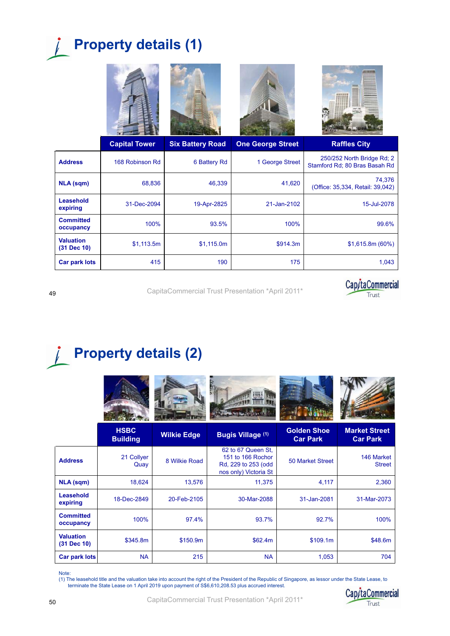## **Property details (1)**



| NLA (sqm)                       | 68,836      | 46,339      | 41,620      | 74.376<br>(Office: 35,334, Retail: 39,042) |
|---------------------------------|-------------|-------------|-------------|--------------------------------------------|
| <b>Leasehold</b><br>expiring    | 31-Dec-2094 | 19-Apr-2825 | 21-Jan-2102 | 15-Jul-2078                                |
| <b>Committed</b><br>occupancy   | 100%        | 93.5%       | 100%        | 99.6%                                      |
| <b>Valuation</b><br>(31 Dec 10) | \$1,113.5m  | \$1,115.0m  | \$914.3m    | \$1,615.8m (60%)                           |
| Car park lots                   | 415         | 190         | 175         | 1.043                                      |



<sup>49</sup> CapitaCommercial Trust Presentation \*April 2011\*

## **Property details (2)**

|                                 | <b>HSBC</b><br><b>Building</b> | <b>Wilkie Edge</b> | <b>Bugis Village (1)</b>                                                                | <b>Golden Shoe</b><br><b>Car Park</b> | <b>Market Street</b><br><b>Car Park</b> |
|---------------------------------|--------------------------------|--------------------|-----------------------------------------------------------------------------------------|---------------------------------------|-----------------------------------------|
| <b>Address</b>                  | 21 Collyer<br>Quay             | 8 Wilkie Road      | 62 to 67 Queen St.<br>151 to 166 Rochor<br>Rd, 229 to 253 (odd<br>nos only) Victoria St | <b>50 Market Street</b>               | 146 Market<br><b>Street</b>             |
| <b>NLA (sqm)</b>                | 18,624                         | 13,576             | 11,375                                                                                  | 4,117                                 | 2,360                                   |
| Leasehold<br>expiring           | 18-Dec-2849                    | 20-Feb-2105        | 30-Mar-2088                                                                             | 31-Jan-2081                           | 31-Mar-2073                             |
| <b>Committed</b><br>occupancy   | 100%                           | 97.4%              | 93.7%                                                                                   | 92.7%                                 | 100%                                    |
| <b>Valuation</b><br>(31 Dec 10) | \$345.8m                       | \$150.9m           | \$62.4m                                                                                 | \$109.1m                              | \$48.6m                                 |
| <b>Car park lots</b>            | <b>NA</b>                      | 215                | <b>NA</b>                                                                               | 1,053                                 | 704                                     |

Note: (1) The leasehold title and the valuation take into account the right of the President of the Republic of Singapore, as lessor under the State Lease, to terminate the State Lease on 1 April 2019 upon payment of S\$6,610,208.53 plus accrued interest.